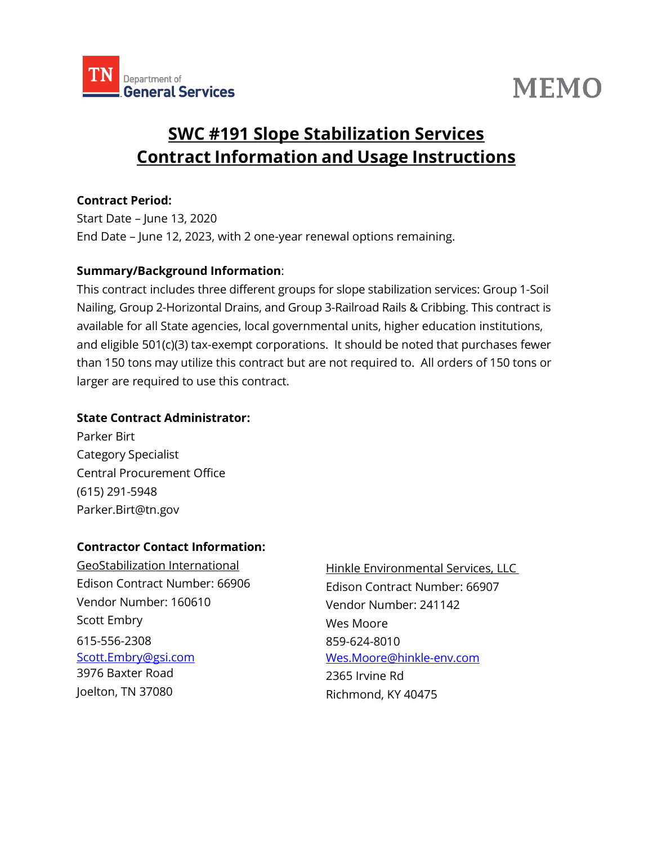

# **MEMO**

## **SWC #191 Slope Stabilization Services Contract Information and Usage Instructions**

#### **Contract Period:**

Start Date – June 13, 2020 End Date – June 12, 2023, with 2 one-year renewal options remaining.

#### **Summary/Background Information**:

This contract includes three different groups for slope stabilization services: Group 1-Soil Nailing, Group 2-Horizontal Drains, and Group 3-Railroad Rails & Cribbing. This contract is available for all State agencies, local governmental units, higher education institutions, and eligible 501(c)(3) tax-exempt corporations. It should be noted that purchases fewer than 150 tons may utilize this contract but are not required to. All orders of 150 tons or larger are required to use this contract.

#### **State Contract Administrator:**

Parker Birt Category Specialist Central Procurement Office (615) 291-5948 [Parker.Birt@tn.gov](mailto:Parker.Birt@tn.gov)

#### **Contractor Contact Information:**

GeoStabilization International Edison Contract Number: 66906 Vendor Number: 160610 Scott Embry 615-556-2308 [Scott.Embry@gsi.com](mailto:Scott.Embry@gsi.com)  3976 Baxter Road Joelton, TN 37080

Hinkle Environmental Services, LLC Edison Contract Number: 66907 Vendor Number: 241142 Wes Moore 859-624-8010 [Wes.Moore@hinkle-env.com](mailto:Wes.Moore@hinkle-env.com) 2365 Irvine Rd Richmond, KY 40475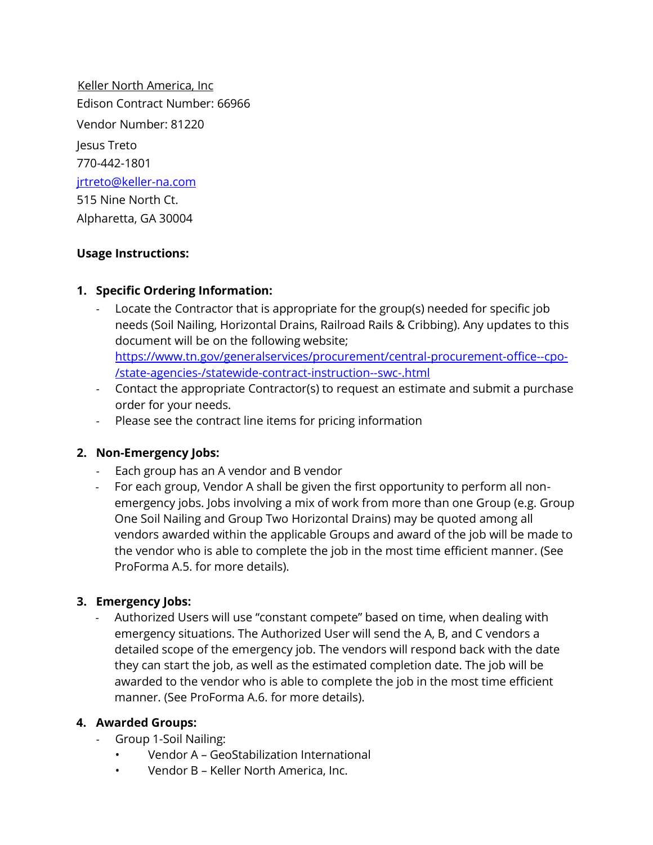Keller North America, Inc Edison Contract Number: 66966 Vendor Number: 81220 Jesus Treto 770-442-1801 [jrtreto@keller-na.com](mailto:jrtreto@keller-na.com) 515 Nine North Ct. Alpharetta, GA 30004

#### **Usage Instructions:**

#### **1. Specific Ordering Information:**

Locate the Contractor that is appropriate for the group(s) needed for specific job needs (Soil Nailing, Horizontal Drains, Railroad Rails & Cribbing). Any updates to this document will be on the following website; [https://www.tn.gov/generalservices/procurement/central-procurement-office--cpo-](https://www.tn.gov/generalservices/procurement/central-procurement-office--cpo-/state-agencies-/statewide-contract-instruction--swc-.html)

[/state-agencies-/statewide-contract-instruction--swc-.html](https://www.tn.gov/generalservices/procurement/central-procurement-office--cpo-/state-agencies-/statewide-contract-instruction--swc-.html)

- Contact the appropriate Contractor(s) to request an estimate and submit a purchase order for your needs.
- Please see the contract line items for pricing information

### **2. Non-Emergency Jobs:**

- Each group has an A vendor and B vendor
- For each group, Vendor A shall be given the first opportunity to perform all nonemergency jobs. Jobs involving a mix of work from more than one Group (e.g. Group One Soil Nailing and Group Two Horizontal Drains) may be quoted among all vendors awarded within the applicable Groups and award of the job will be made to the vendor who is able to complete the job in the most time efficient manner. (See ProForma A.5. for more details).

#### **3. Emergency Jobs:**

- Authorized Users will use "constant compete" based on time, when dealing with emergency situations. The Authorized User will send the A, B, and C vendors a detailed scope of the emergency job. The vendors will respond back with the date they can start the job, as well as the estimated completion date. The job will be awarded to the vendor who is able to complete the job in the most time efficient manner. (See ProForma A.6. for more details).

#### **4. Awarded Groups:**

- Group 1-Soil Nailing:
	- Vendor A GeoStabilization International
	- Vendor B Keller North America, Inc.